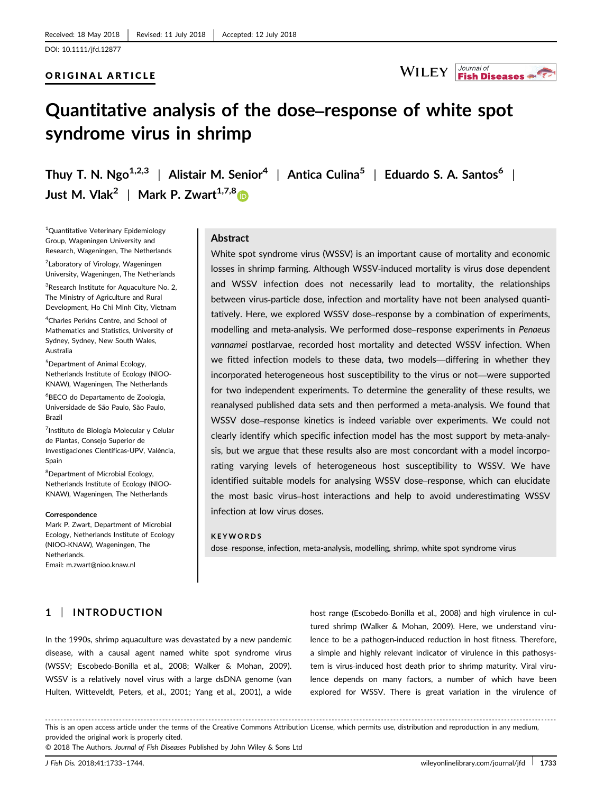## ORIGINAL ARTICLE

#### Journal of<br>**Fish Diseases WILEY**

# **Quantitative analysis of the dose–response of white spot syndrome virus in shrimp**

**Thuy T. N. Ngo1,2,3** | **Alistair M. Senior<sup>4</sup>** | **Antica Culina<sup>5</sup>** | **Eduardo S. A. Santos<sup>6</sup>** | **Just M. Vlak<sup>2</sup>** | **Mark P. Zwart1,7,[8](http://orcid.org/0000-0003-4361-7636)**

1 Quantitative Veterinary Epidemiology Group, Wageningen University and Research, Wageningen, The Netherlands <sup>2</sup>Laboratory of Virology, Wageningen University, Wageningen, The Netherlands

<sup>3</sup>Research Institute for Aquaculture No. 2, The Ministry of Agriculture and Rural Development, Ho Chi Minh City, Vietnam

4 Charles Perkins Centre, and School of Mathematics and Statistics, University of Sydney, Sydney, New South Wales, Australia

5 Department of Animal Ecology, Netherlands Institute of Ecology (NIOO-KNAW), Wageningen, The Netherlands

6 BECO do Departamento de Zoologia, Universidade de São Paulo, São Paulo, Brazil

<sup>7</sup>Instituto de Biología Molecular y Celular de Plantas, Consejo Superior de Investigaciones Científicas-UPV, València, Spain

<sup>8</sup>Department of Microbial Ecology, Netherlands Institute of Ecology (NIOO-KNAW), Wageningen, The Netherlands

#### **Correspondence**

Mark P. Zwart, Department of Microbial Ecology, Netherlands Institute of Ecology (NIOO‐KNAW), Wageningen, The Netherlands.

Email: [m.zwart@nioo.knaw.nl](mailto:)

#### **Abstract**

White spot syndrome virus (WSSV) is an important cause of mortality and economic losses in shrimp farming. Although WSSV‐induced mortality is virus dose dependent and WSSV infection does not necessarily lead to mortality, the relationships between virus‐particle dose, infection and mortality have not been analysed quantitatively. Here, we explored WSSV dose–response by a combination of experiments, modelling and meta‐analysis. We performed dose–response experiments in *Penaeus vannamei* postlarvae, recorded host mortality and detected WSSV infection. When we fitted infection models to these data, two models—differing in whether they incorporated heterogeneous host susceptibility to the virus or not—were supported for two independent experiments. To determine the generality of these results, we reanalysed published data sets and then performed a meta‐analysis. We found that WSSV dose–response kinetics is indeed variable over experiments. We could not clearly identify which specific infection model has the most support by meta-analysis, but we argue that these results also are most concordant with a model incorporating varying levels of heterogeneous host susceptibility to WSSV. We have identified suitable models for analysing WSSV dose–response, which can elucidate the most basic virus–host interactions and help to avoid underestimating WSSV infection at low virus doses.

#### **KEYWORDS**

dose–response, infection, meta-analysis, modelling, shrimp, white spot syndrome virus

# **1** | **INTRODUCTION**

In the 1990s, shrimp aquaculture was devastated by a new pandemic disease, with a causal agent named white spot syndrome virus (WSSV; Escobedo‐Bonilla et al., 2008; Walker & Mohan, 2009). WSSV is a relatively novel virus with a large dsDNA genome (van Hulten, Witteveldt, Peters, et al., 2001; Yang et al., 2001), a wide

host range (Escobedo‐Bonilla et al., 2008) and high virulence in cultured shrimp (Walker & Mohan, 2009). Here, we understand virulence to be a pathogen‐induced reduction in host fitness. Therefore, a simple and highly relevant indicator of virulence in this pathosystem is virus‐induced host death prior to shrimp maturity. Viral virulence depends on many factors, a number of which have been explored for WSSV. There is great variation in the virulence of

© 2018 The Authors. *Journal of Fish Diseases* Published by John Wiley & Sons Ltd

<sup>-------------------------------------------------------------------------------------------------------------------------------</sup> --------------------------------------- This is an open access article under the terms of the [Creative Commons Attribution](http://creativecommons.org/licenses/by/4.0/) License, which permits use, distribution and reproduction in any medium, provided the original work is properly cited.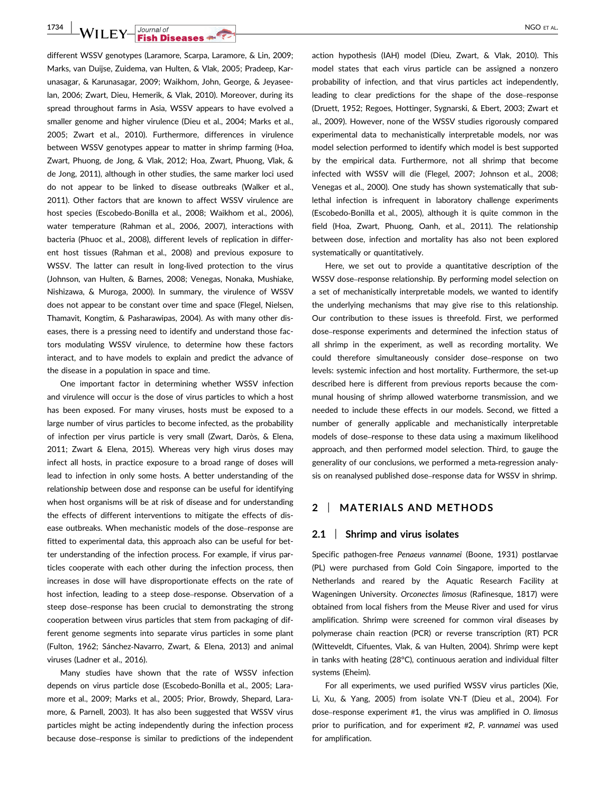**1734** | **IA/II EX** Journal of **ALCONGLIZE** 

different WSSV genotypes (Laramore, Scarpa, Laramore, & Lin, 2009; Marks, van Duijse, Zuidema, van Hulten, & Vlak, 2005; Pradeep, Karunasagar, & Karunasagar, 2009; Waikhom, John, George, & Jeyaseelan, 2006; Zwart, Dieu, Hemerik, & Vlak, 2010). Moreover, during its spread throughout farms in Asia, WSSV appears to have evolved a smaller genome and higher virulence (Dieu et al., 2004; Marks et al., 2005; Zwart et al., 2010). Furthermore, differences in virulence between WSSV genotypes appear to matter in shrimp farming (Hoa, Zwart, Phuong, de Jong, & Vlak, 2012; Hoa, Zwart, Phuong, Vlak, & de Jong, 2011), although in other studies, the same marker loci used do not appear to be linked to disease outbreaks (Walker et al., 2011). Other factors that are known to affect WSSV virulence are host species (Escobedo‐Bonilla et al., 2008; Waikhom et al., 2006), water temperature (Rahman et al., 2006, 2007), interactions with bacteria (Phuoc et al., 2008), different levels of replication in different host tissues (Rahman et al., 2008) and previous exposure to WSSV. The latter can result in long‐lived protection to the virus (Johnson, van Hulten, & Barnes, 2008; Venegas, Nonaka, Mushiake, Nishizawa, & Muroga, 2000). In summary, the virulence of WSSV does not appear to be constant over time and space (Flegel, Nielsen, Thamavit, Kongtim, & Pasharawipas, 2004). As with many other diseases, there is a pressing need to identify and understand those factors modulating WSSV virulence, to determine how these factors interact, and to have models to explain and predict the advance of the disease in a population in space and time.

One important factor in determining whether WSSV infection and virulence will occur is the dose of virus particles to which a host has been exposed. For many viruses, hosts must be exposed to a large number of virus particles to become infected, as the probability of infection per virus particle is very small (Zwart, Daròs, & Elena, 2011; Zwart & Elena, 2015). Whereas very high virus doses may infect all hosts, in practice exposure to a broad range of doses will lead to infection in only some hosts. A better understanding of the relationship between dose and response can be useful for identifying when host organisms will be at risk of disease and for understanding the effects of different interventions to mitigate the effects of disease outbreaks. When mechanistic models of the dose–response are fitted to experimental data, this approach also can be useful for better understanding of the infection process. For example, if virus particles cooperate with each other during the infection process, then increases in dose will have disproportionate effects on the rate of host infection, leading to a steep dose–response. Observation of a steep dose–response has been crucial to demonstrating the strong cooperation between virus particles that stem from packaging of different genome segments into separate virus particles in some plant (Fulton, 1962; Sánchez‐Navarro, Zwart, & Elena, 2013) and animal viruses (Ladner et al., 2016).

Many studies have shown that the rate of WSSV infection depends on virus particle dose (Escobedo‐Bonilla et al., 2005; Laramore et al., 2009; Marks et al., 2005; Prior, Browdy, Shepard, Laramore, & Parnell, 2003). It has also been suggested that WSSV virus particles might be acting independently during the infection process because dose–response is similar to predictions of the independent action hypothesis (IAH) model (Dieu, Zwart, & Vlak, 2010). This model states that each virus particle can be assigned a nonzero probability of infection, and that virus particles act independently, leading to clear predictions for the shape of the dose–response (Druett, 1952; Regoes, Hottinger, Sygnarski, & Ebert, 2003; Zwart et al., 2009). However, none of the WSSV studies rigorously compared experimental data to mechanistically interpretable models, nor was model selection performed to identify which model is best supported by the empirical data. Furthermore, not all shrimp that become infected with WSSV will die (Flegel, 2007; Johnson et al., 2008; Venegas et al., 2000). One study has shown systematically that sublethal infection is infrequent in laboratory challenge experiments (Escobedo‐Bonilla et al., 2005), although it is quite common in the field (Hoa, Zwart, Phuong, Oanh, et al., 2011). The relationship between dose, infection and mortality has also not been explored systematically or quantitatively.

Here, we set out to provide a quantitative description of the WSSV dose–response relationship. By performing model selection on a set of mechanistically interpretable models, we wanted to identify the underlying mechanisms that may give rise to this relationship. Our contribution to these issues is threefold. First, we performed dose–response experiments and determined the infection status of all shrimp in the experiment, as well as recording mortality. We could therefore simultaneously consider dose–response on two levels: systemic infection and host mortality. Furthermore, the set‐up described here is different from previous reports because the communal housing of shrimp allowed waterborne transmission, and we needed to include these effects in our models. Second, we fitted a number of generally applicable and mechanistically interpretable models of dose–response to these data using a maximum likelihood approach, and then performed model selection. Third, to gauge the generality of our conclusions, we performed a meta‐regression analysis on reanalysed published dose–response data for WSSV in shrimp.

## **2** | **MATERIALS AND METHODS**

#### **2.1** | **Shrimp and virus isolates**

Specific pathogen‐free *Penaeus vannamei* (Boone, 1931) postlarvae (PL) were purchased from Gold Coin Singapore, imported to the Netherlands and reared by the Aquatic Research Facility at Wageningen University. *Orconectes limosus* (Rafinesque, 1817) were obtained from local fishers from the Meuse River and used for virus amplification. Shrimp were screened for common viral diseases by polymerase chain reaction (PCR) or reverse transcription (RT) PCR (Witteveldt, Cifuentes, Vlak, & van Hulten, 2004). Shrimp were kept in tanks with heating (28°C), continuous aeration and individual filter systems (Eheim).

For all experiments, we used purified WSSV virus particles (Xie, Li, Xu, & Yang, 2005) from isolate VN‐T (Dieu et al., 2004). For dose–response experiment #1, the virus was amplified in *O. limosus* prior to purification, and for experiment #2, *P. vannamei* was used for amplification.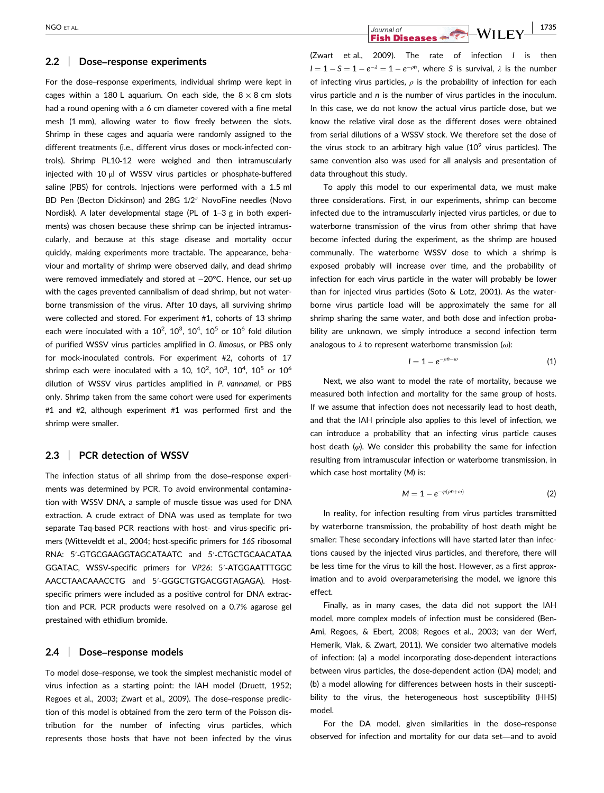#### **2.2** | **Dose–response experiments**

For the dose–response experiments, individual shrimp were kept in cages within a 180 L aquarium. On each side, the  $8 \times 8$  cm slots had a round opening with a 6 cm diameter covered with a fine metal mesh (1 mm), allowing water to flow freely between the slots. Shrimp in these cages and aquaria were randomly assigned to the different treatments (i.e., different virus doses or mock-infected controls). Shrimp PL10‐12 were weighed and then intramuscularly injected with 10 μl of WSSV virus particles or phosphate‐buffered saline (PBS) for controls. Injections were performed with a 1.5 ml BD Pen (Becton Dickinson) and 28G 1/2″ NovoFine needles (Novo Nordisk). A later developmental stage (PL of 1–3 g in both experiments) was chosen because these shrimp can be injected intramuscularly, and because at this stage disease and mortality occur quickly, making experiments more tractable. The appearance, behaviour and mortality of shrimp were observed daily, and dead shrimp were removed immediately and stored at −20°C. Hence, our set-up with the cages prevented cannibalism of dead shrimp, but not waterborne transmission of the virus. After 10 days, all surviving shrimp were collected and stored. For experiment #1, cohorts of 13 shrimp each were inoculated with a 10<sup>2</sup>, 10<sup>3</sup>, 10<sup>4</sup>, 10<sup>5</sup> or 10<sup>6</sup> fold dilution of purified WSSV virus particles amplified in *O. limosus*, or PBS only for mock‐inoculated controls. For experiment #2, cohorts of 17 shrimp each were inoculated with a 10, 10<sup>2</sup>, 10<sup>3</sup>, 10<sup>4</sup>, 10<sup>5</sup> or 10<sup>6</sup> dilution of WSSV virus particles amplified in *P. vannamei*, or PBS only. Shrimp taken from the same cohort were used for experiments #1 and #2, although experiment #1 was performed first and the shrimp were smaller.

#### **2.3** | **PCR detection of WSSV**

The infection status of all shrimp from the dose–response experiments was determined by PCR. To avoid environmental contamination with WSSV DNA, a sample of muscle tissue was used for DNA extraction. A crude extract of DNA was used as template for two separate Taq-based PCR reactions with host- and virus-specific primers (Witteveldt et al., 2004; host‐specific primers for *16S* ribosomal RNA: 5′‐GTGCGAAGGTAGCATAATC and 5′‐CTGCTGCAACATAA GGATAC, WSSV‐specific primers for *VP26*: 5′‐ATGGAATTTGGC AACCTAACAAACCTG and 5′‐GGGCTGTGACGGTAGAGA). Host‐ specific primers were included as a positive control for DNA extraction and PCR. PCR products were resolved on a 0.7% agarose gel prestained with ethidium bromide.

#### **2.4** | **Dose–response models**

To model dose–response, we took the simplest mechanistic model of virus infection as a starting point: the IAH model (Druett, 1952; Regoes et al., 2003; Zwart et al., 2009). The dose–response prediction of this model is obtained from the zero term of the Poisson distribution for the number of infecting virus particles, which represents those hosts that have not been infected by the virus

NGO ET AL. **1735 Fish Diseases** 

(Zwart et al., 2009). The rate of infection *I* is then  $I = 1 - S = 1 - e^{-\lambda} = 1 - e^{-\rho n}$ , where *S* is survival,  $\lambda$  is the number of infecting virus particles, *ρ* is the probability of infection for each virus particle and *n* is the number of virus particles in the inoculum. In this case, we do not know the actual virus particle dose, but we know the relative viral dose as the different doses were obtained from serial dilutions of a WSSV stock. We therefore set the dose of the virus stock to an arbitrary high value  $(10^9)$  virus particles). The same convention also was used for all analysis and presentation of data throughout this study.

To apply this model to our experimental data, we must make three considerations. First, in our experiments, shrimp can become infected due to the intramuscularly injected virus particles, or due to waterborne transmission of the virus from other shrimp that have become infected during the experiment, as the shrimp are housed communally. The waterborne WSSV dose to which a shrimp is exposed probably will increase over time, and the probability of infection for each virus particle in the water will probably be lower than for injected virus particles (Soto & Lotz, 2001). As the waterborne virus particle load will be approximately the same for all shrimp sharing the same water, and both dose and infection probability are unknown, we simply introduce a second infection term analogous to *λ* to represent waterborne transmission (*ω*):

$$
l=1-e^{-\rho n-\omega} \tag{1}
$$

Next, we also want to model the rate of mortality, because we measured both infection and mortality for the same group of hosts. If we assume that infection does not necessarily lead to host death, and that the IAH principle also applies to this level of infection, we can introduce a probability that an infecting virus particle causes host death (*φ*). We consider this probability the same for infection resulting from intramuscular infection or waterborne transmission, in which case host mortality (*M*) is:

$$
M=1-e^{-\varphi(\rho n+\omega)}
$$
 (2)

In reality, for infection resulting from virus particles transmitted by waterborne transmission, the probability of host death might be smaller: These secondary infections will have started later than infections caused by the injected virus particles, and therefore, there will be less time for the virus to kill the host. However, as a first approximation and to avoid overparameterising the model, we ignore this effect.

Finally, as in many cases, the data did not support the IAH model, more complex models of infection must be considered (Ben‐ Ami, Regoes, & Ebert, 2008; Regoes et al., 2003; van der Werf, Hemerik, Vlak, & Zwart, 2011). We consider two alternative models of infection: (a) a model incorporating dose‐dependent interactions between virus particles, the dose‐dependent action (DA) model; and (b) a model allowing for differences between hosts in their susceptibility to the virus, the heterogeneous host susceptibility (HHS) model.

For the DA model, given similarities in the dose–response observed for infection and mortality for our data set—and to avoid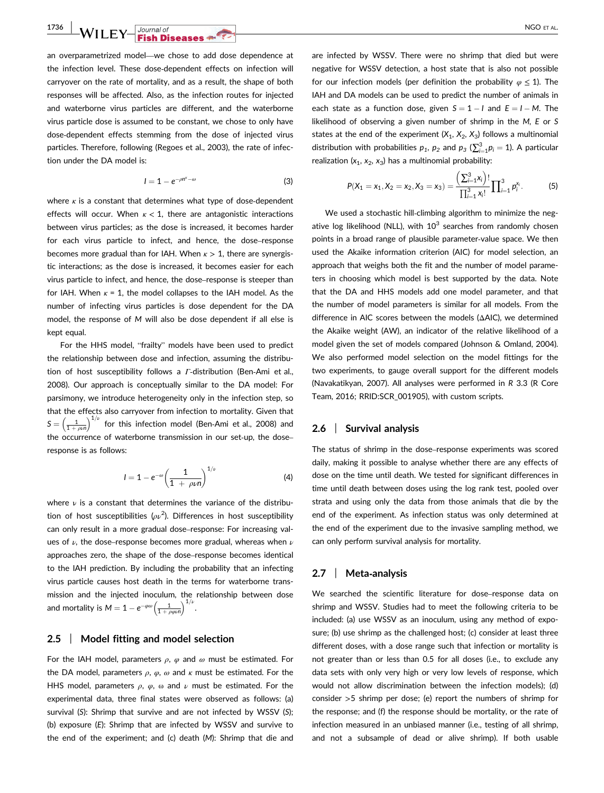**1736** | WILEY | *Journal of* **Fish Diseases and Execution Contract Contract Contract Contract Contract Contract Contract Contract Contract Contract Contract Contract Contract Contract Contract Contract Contract Contract C** 

an overparametrized model—we chose to add dose dependence at the infection level. These dose‐dependent effects on infection will carryover on the rate of mortality, and as a result, the shape of both responses will be affected. Also, as the infection routes for injected and waterborne virus particles are different, and the waterborne virus particle dose is assumed to be constant, we chose to only have dose‐dependent effects stemming from the dose of injected virus particles. Therefore, following (Regoes et al., 2003), the rate of infection under the DA model is:

$$
l=1-e^{-\rho n^{\kappa}-\omega} \tag{3}
$$

where *κ* is a constant that determines what type of dose-dependent effects will occur. When  $\kappa$  < 1, there are antagonistic interactions between virus particles; as the dose is increased, it becomes harder for each virus particle to infect, and hence, the dose–response becomes more gradual than for IAH. When *κ* > 1, there are synergistic interactions; as the dose is increased, it becomes easier for each virus particle to infect, and hence, the dose–response is steeper than for IAH. When  $\kappa = 1$ , the model collapses to the IAH model. As the number of infecting virus particles is dose dependent for the DA model, the response of *M* will also be dose dependent if all else is kept equal.

For the HHS model, "frailty" models have been used to predict the relationship between dose and infection, assuming the distribution of host susceptibility follows a *Γ*‐distribution (Ben‐Ami et al., 2008). Our approach is conceptually similar to the DA model: For parsimony, we introduce heterogeneity only in the infection step, so that the effects also carryover from infection to mortality. Given that  $S = \left(\frac{1}{1+\rho\iota n}\right)^{1/\nu}$  for this infection model (Ben-Ami et al., 2008) and the occurrence of waterborne transmission in our set-up, the doseresponse is as follows:

$$
I = 1 - e^{-\omega} \left( \frac{1}{1 + \rho \nu n} \right)^{1/\nu}
$$
 (4)

where  $\nu$  is a constant that determines the variance of the distribution of host susceptibilities  $(\rho \nu^2)$ . Differences in host susceptibility can only result in a more gradual dose–response: For increasing values of *ν,* the dose–response becomes more gradual, whereas when *ν* approaches zero, the shape of the dose–response becomes identical to the IAH prediction. By including the probability that an infecting virus particle causes host death in the terms for waterborne transmission and the injected inoculum, the relationship between dose and mortality is  $M = 1 - e^{-\varphi \omega} \left( \frac{1}{1 + \rho \varphi \nu \hbar} \right)^{1/\nu}$ .

#### **2.5** | **Model fitting and model selection**

For the IAH model, parameters *ρ*, *φ* and *ω* must be estimated. For the DA model, parameters *ρ*, *φ*, *ω* and *κ* must be estimated. For the HHS model, parameters *ρ*, *φ*, ω and *ν* must be estimated. For the experimental data, three final states were observed as follows: (a) survival (*S*): Shrimp that survive and are not infected by WSSV (*S*); (b) exposure (*E*): Shrimp that are infected by WSSV and survive to the end of the experiment; and (c) death (*M*): Shrimp that die and are infected by WSSV. There were no shrimp that died but were negative for WSSV detection, a host state that is also not possible for our infection models (per definition the probability  $\varphi \leq 1$ ). The IAH and DA models can be used to predict the number of animals in each state as a function dose, given  $S = 1 - I$  and  $E = I - M$ . The likelihood of observing a given number of shrimp in the *M, E* or *S* states at the end of the experiment  $(X_1, X_2, X_3)$  follows a multinomial distribution with probabilities  $p_1$ ,  $p_2$  and  $p_3$  ( $\sum_{i=1}^{3} p_i = 1$ ). A particular realization  $(x_1, x_2, x_3)$  has a multinomial probability:

$$
P(X_1 = x_1, X_2 = x_2, X_3 = x_3) = \frac{\left(\sum_{i=1}^3 x_i\right)!}{\prod_{i=1}^3 x_i!} \prod_{i=1}^3 p_i^{x_i}.
$$
 (5)

We used a stochastic hill-climbing algorithm to minimize the negative log likelihood (NLL), with  $10^3$  searches from randomly chosen points in a broad range of plausible parameter‐value space. We then used the Akaike information criterion (AIC) for model selection, an approach that weighs both the fit and the number of model parameters in choosing which model is best supported by the data. Note that the DA and HHS models add one model parameter, and that the number of model parameters is similar for all models. From the difference in AIC scores between the models (ΔAIC), we determined the Akaike weight (AW), an indicator of the relative likelihood of a model given the set of models compared (Johnson & Omland, 2004). We also performed model selection on the model fittings for the two experiments, to gauge overall support for the different models (Navakatikyan, 2007). All analyses were performed in *R* 3.3 (R Core Team, 2016; RRID:SCR\_001905), with custom scripts.

#### **2.6** | **Survival analysis**

The status of shrimp in the dose–response experiments was scored daily, making it possible to analyse whether there are any effects of dose on the time until death. We tested for significant differences in time until death between doses using the log rank test, pooled over strata and using only the data from those animals that die by the end of the experiment. As infection status was only determined at the end of the experiment due to the invasive sampling method, we can only perform survival analysis for mortality.

#### **2.7** | **Meta‐analysis**

We searched the scientific literature for dose–response data on shrimp and WSSV. Studies had to meet the following criteria to be included: (a) use WSSV as an inoculum, using any method of exposure; (b) use shrimp as the challenged host; (c) consider at least three different doses, with a dose range such that infection or mortality is not greater than or less than 0.5 for all doses (i.e., to exclude any data sets with only very high or very low levels of response, which would not allow discrimination between the infection models); (d) consider >5 shrimp per dose; (e) report the numbers of shrimp for the response; and (f) the response should be mortality, or the rate of infection measured in an unbiased manner (i.e., testing of all shrimp, and not a subsample of dead or alive shrimp). If both usable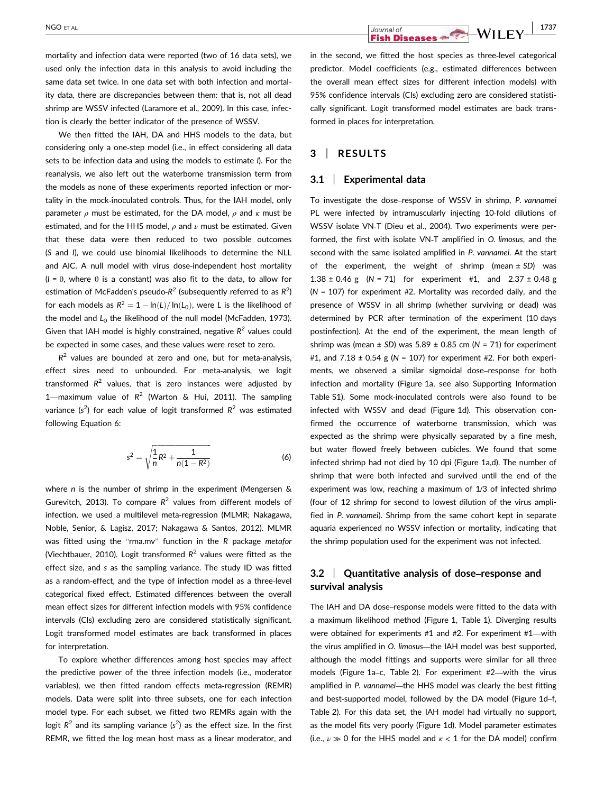mortality and infection data were reported (two of 16 data sets), we used only the infection data in this analysis to avoid including the same data set twice. In one data set with both infection and mortality data, there are discrepancies between them: that is, not all dead shrimp are WSSV infected (Laramore et al., 2009). In this case, infection is clearly the better indicator of the presence of WSSV.

We then fitted the IAH, DA and HHS models to the data, but considering only a one‐step model (i.e., in effect considering all data sets to be infection data and using the models to estimate *I*). For the reanalysis, we also left out the waterborne transmission term from the models as none of these experiments reported infection or mortality in the mock‐inoculated controls. Thus, for the IAH model, only parameter *ρ* must be estimated, for the DA model, *ρ* and *κ* must be estimated, and for the HHS model, *ρ* and *ν* must be estimated. Given that these data were then reduced to two possible outcomes (*S* and *I*), we could use binomial likelihoods to determine the NLL and AIC. A null model with virus dose-independent host mortality  $(I = \theta)$ , where  $\theta$  is a constant) was also fit to the data, to allow for estimation of McFadden's pseudo-R<sup>2</sup> (subsequently referred to as R<sup>2</sup>) for each models as  $R^2 = 1 - \ln(L)/\ln(L_0)$ , were *L* is the likelihood of the model and L<sub>0</sub> the likelihood of the null model (McFadden, 1973). Given that IAH model is highly constrained, negative *R2* values could be expected in some cases, and these values were reset to zero.

 $R<sup>2</sup>$  values are bounded at zero and one, but for meta-analysis, effect sizes need to unbounded. For meta‐analysis, we logit transformed  $R^2$  values, that is zero instances were adjusted by 1—maximum value of  $R^2$  (Warton & Hui, 2011). The sampling variance (*s* 2 ) for each value of logit transformed *R*<sup>2</sup> was estimated following Equation 6:

$$
s^2 = \sqrt{\frac{1}{n}R^2 + \frac{1}{n(1 - R^2)}}
$$
 (6)

where *n* is the number of shrimp in the experiment (Mengersen & Gurevitch, 2013). To compare  $R^2$  values from different models of infection, we used a multilevel meta-regression (MLMR; Nakagawa, Noble, Senior, & Lagisz, 2017; Nakagawa & Santos, 2012). MLMR was fitted using the "rma.mv" function in the *R* package *metafor* (Viechtbauer, 2010). Logit transformed *R*<sup>2</sup> values were fitted as the effect size, and *s* as the sampling variance. The study ID was fitted as a random‐effect, and the type of infection model as a three‐level categorical fixed effect. Estimated differences between the overall mean effect sizes for different infection models with 95% confidence intervals (CIs) excluding zero are considered statistically significant. Logit transformed model estimates are back transformed in places for interpretation.

To explore whether differences among host species may affect the predictive power of the three infection models (i.e., moderator variables), we then fitted random effects meta‐regression (REMR) models. Data were split into three subsets, one for each infection model type. For each subset, we fitted two REMRs again with the logit R<sup>2</sup> and its sampling variance (s<sup>2</sup>) as the effect size. In the first REMR, we fitted the log mean host mass as a linear moderator, and in the second, we fitted the host species as three‐level categorical predictor. Model coefficients (e.g., estimated differences between the overall mean effect sizes for different infection models) with 95% confidence intervals (CIs) excluding zero are considered statistically significant. Logit transformed model estimates are back transformed in places for interpretation.

**Fish Diseases** 

#### **3** | **RESULTS**

#### **3.1** | **Experimental data**

To investigate the dose–response of WSSV in shrimp, *P. vannamei* PL were infected by intramuscularly injecting 10-fold dilutions of WSSV isolate VN‐T (Dieu et al., 2004). Two experiments were performed, the first with isolate VN‐T amplified in *O. limosus*, and the second with the same isolated amplified in *P. vannamei.* At the start of the experiment, the weight of shrimp (mean ± *SD*) was  $1.38 \pm 0.46$  g (N = 71) for experiment #1, and  $2.37 \pm 0.48$  g (*N* = 107) for experiment #2. Mortality was recorded daily, and the presence of WSSV in all shrimp (whether surviving or dead) was determined by PCR after termination of the experiment (10 days postinfection). At the end of the experiment, the mean length of shrimp was (mean ± *SD*) was 5.89 ± 0.85 cm (*N* = 71) for experiment #1, and 7.18 ± 0.54 g (*N* = 107) for experiment #2. For both experiments, we observed a similar sigmoidal dose–response for both infection and mortality (Figure 1a, see also Supporting Information Table S1). Some mock‐inoculated controls were also found to be infected with WSSV and dead (Figure 1d). This observation confirmed the occurrence of waterborne transmission, which was expected as the shrimp were physically separated by a fine mesh, but water flowed freely between cubicles. We found that some infected shrimp had not died by 10 dpi (Figure 1a,d). The number of shrimp that were both infected and survived until the end of the experiment was low, reaching a maximum of 1/3 of infected shrimp (four of 12 shrimp for second to lowest dilution of the virus amplified in *P. vannamei*). Shrimp from the same cohort kept in separate aquaria experienced no WSSV infection or mortality, indicating that the shrimp population used for the experiment was not infected.

## **3.2** | **Quantitative analysis of dose–response and survival analysis**

The IAH and DA dose–response models were fitted to the data with a maximum likelihood method (Figure 1, Table 1). Diverging results were obtained for experiments #1 and #2. For experiment #1—with the virus amplified in *O. limosus—*the IAH model was best supported, although the model fittings and supports were similar for all three models (Figure 1a–c, Table 2). For experiment #2—with the virus amplified in *P. vannamei—*the HHS model was clearly the best fitting and best-supported model, followed by the DA model (Figure 1d–f, Table 2). For this data set, the IAH model had virtually no support, as the model fits very poorly (Figure 1d). Model parameter estimates (i.e., *ν* ≫ 0 for the HHS model and *κ* < 1 for the DA model) confirm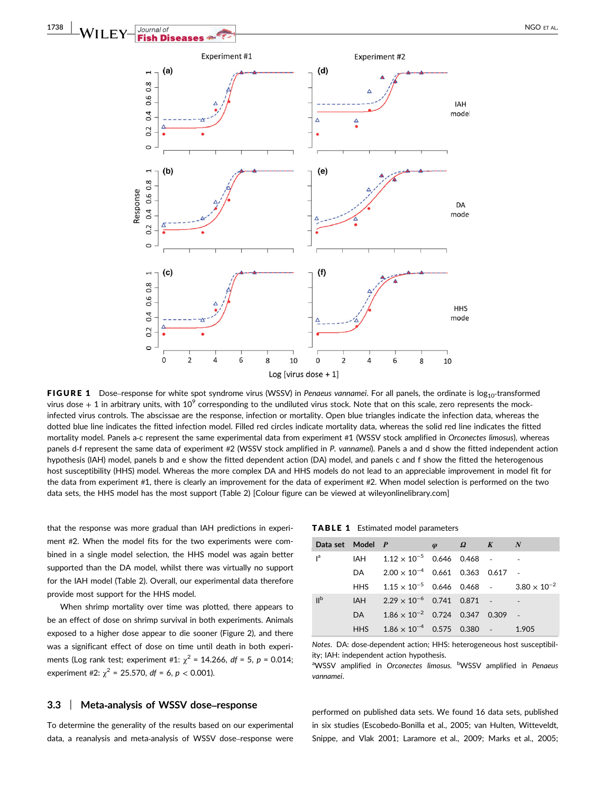

FIGURE 1 Dose–response for white spot syndrome virus (WSSV) in *Penaeus vannamei*. For all panels, the ordinate is log<sub>10</sub>-transformed virus dose  $+1$  in arbitrary units, with 10<sup>9</sup> corresponding to the undiluted virus stock. Note that on this scale, zero represents the mockinfected virus controls. The abscissae are the response, infection or mortality. Open blue triangles indicate the infection data, whereas the dotted blue line indicates the fitted infection model. Filled red circles indicate mortality data, whereas the solid red line indicates the fitted mortality model. Panels a‐c represent the same experimental data from experiment #1 (WSSV stock amplified in *Orconectes limosus*), whereas panels d‐f represent the same data of experiment #2 (WSSV stock amplified in *P. vannamei*). Panels a and d show the fitted independent action hypothesis (IAH) model, panels b and e show the fitted dependent action (DA) model, and panels c and f show the fitted the heterogenous host susceptibility (HHS) model. Whereas the more complex DA and HHS models do not lead to an appreciable improvement in model fit for the data from experiment #1, there is clearly an improvement for the data of experiment #2. When model selection is performed on the two data sets, the HHS model has the most support (Table 2) [Colour figure can be viewed at wileyonlinelibrary.com]

that the response was more gradual than IAH predictions in experiment #2. When the model fits for the two experiments were combined in a single model selection, the HHS model was again better supported than the DA model, whilst there was virtually no support for the IAH model (Table 2). Overall, our experimental data therefore provide most support for the HHS model.

When shrimp mortality over time was plotted, there appears to be an effect of dose on shrimp survival in both experiments. Animals exposed to a higher dose appear to die sooner (Figure 2), and there was a significant effect of dose on time until death in both experiments (Log rank test; experiment #1:  $\chi^2$  = 14.266, *df* = 5, *p* = 0.014; experiment #2:  $\chi^2$  = 25.570, *df* = 6, *p* < 0.001).

#### **3.3** | **Meta‐analysis of WSSV dose–response**

To determine the generality of the results based on our experimental data, a reanalysis and meta‐analysis of WSSV dose–response were

|  |  |  |  |  |  |  |  | <b>TABLE 1</b> Estimated model parameters |
|--|--|--|--|--|--|--|--|-------------------------------------------|
|--|--|--|--|--|--|--|--|-------------------------------------------|

| Data set Model P           |                                                               |  | $\varphi$ $\Omega$ $K$ $N$ |  |
|----------------------------|---------------------------------------------------------------|--|----------------------------|--|
| $I^a$                      | IAH $1.12 \times 10^{-5}$ 0.646 0.468 - -                     |  |                            |  |
|                            | DA $2.00 \times 10^{-4}$ 0.661 0.363 0.617 -                  |  |                            |  |
|                            | HHS $1.15 \times 10^{-5}$ 0.646 0.468 - 3.80 $\times 10^{-2}$ |  |                            |  |
| $\mathsf{II}^{\mathsf{b}}$ | $1$ AH $2.29 \times 10^{-6}$ 0.741 0.871 -                    |  |                            |  |
|                            | DA $1.86 \times 10^{-2}$ 0.724 0.347 0.309 -                  |  |                            |  |
|                            | HHS $1.86 \times 10^{-4}$ 0.575 0.380 - 1.905                 |  |                            |  |

*Notes*. DA: dose‐dependent action; HHS: heterogeneous host susceptibility; IAH: independent action hypothesis.

<sup>a</sup>WSSV amplified in Orconectes limosus. <sup>b</sup>WSSV amplified in Penaeus *vannamei*.

performed on published data sets. We found 16 data sets, published in six studies (Escobedo‐Bonilla et al., 2005; van Hulten, Witteveldt, Snippe, and Vlak 2001; Laramore et al., 2009; Marks et al., 2005;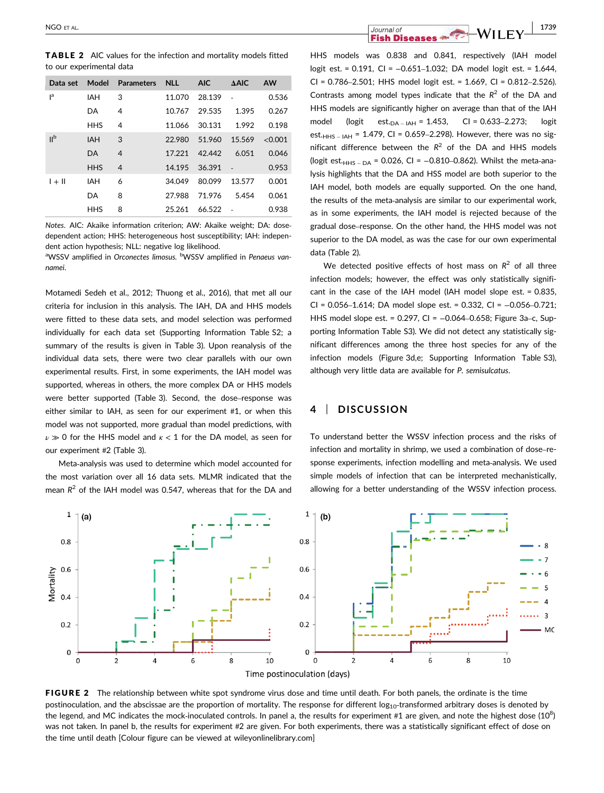TABLE 2 AIC values for the infection and mortality models fitted to our experimental data

| Data set        |            | Model Parameters NLL AIC |        |        | $\triangle$ AIC | <b>AW</b> |
|-----------------|------------|--------------------------|--------|--------|-----------------|-----------|
| l <sub>a</sub>  | IAH        | 3                        | 11.070 | 28.139 | $\sim$          | 0.536     |
|                 | DA         | 4                        | 10.767 | 29.535 | 1.395           | 0.267     |
|                 | <b>HHS</b> | 4                        | 11.066 | 30.131 | 1.992           | 0.198     |
| II <sub>p</sub> | <b>IAH</b> | 3                        | 22.980 | 51.960 | 15.569          | < 0.001   |
|                 | DA         | $\overline{4}$           | 17.221 | 42.442 | 6.051           | 0.046     |
|                 | <b>HHS</b> | $\overline{4}$           | 14.195 | 36.391 | $\sim$          | 0.953     |
| $1 + 11$        | <b>IAH</b> | 6                        | 34.049 | 80.099 | 13.577          | 0.001     |
|                 | DA         | 8                        | 27.988 | 71.976 | 5.454           | 0.061     |
|                 | <b>HHS</b> | 8                        | 25.261 | 66.522 |                 | 0.938     |

*Notes*. AIC: Akaike information criterion; AW: Akaike weight; DA: dose‐ dependent action; HHS: heterogeneous host susceptibility; IAH: independent action hypothesis; NLL: negative log likelihood.

<sup>a</sup>WSSV amplified in *Orconectes limosus*. <sup>b</sup>WSSV amplified in *Penaeus vannamei*.

Motamedi Sedeh et al., 2012; Thuong et al., 2016), that met all our criteria for inclusion in this analysis. The IAH, DA and HHS models were fitted to these data sets, and model selection was performed individually for each data set (Supporting Information Table S2; a summary of the results is given in Table 3). Upon reanalysis of the individual data sets, there were two clear parallels with our own experimental results. First, in some experiments, the IAH model was supported, whereas in others, the more complex DA or HHS models were better supported (Table 3). Second, the dose–response was either similar to IAH, as seen for our experiment #1, or when this model was not supported, more gradual than model predictions, with *ν* ≫ 0 for the HHS model and *κ* < 1 for the DA model, as seen for our experiment #2 (Table 3).

Meta‐analysis was used to determine which model accounted for the most variation over all 16 data sets. MLMR indicated that the mean  $R^2$  of the IAH model was 0.547, whereas that for the DA and

NGO ET AL. **1739 Fish Diseases +** 

HHS models was 0.838 and 0.841, respectively (IAH model logit est. = 0.191, CI = −0.651–1.032; DA model logit est. = 1.644, CI = 0.786–2.501; HHS model logit est. = 1.669, CI = 0.812–2.526). Contrasts among model types indicate that the *R*<sup>2</sup> of the DA and HHS models are significantly higher on average than that of the IAH model (logit est. $_{DA-1AH}$  = 1.453, CI = 0.633-2.273; logit est.<sub>HHS – IAH</sub> = 1.479, CI = 0.659–2.298). However, there was no significant difference between the  $R^2$  of the DA and HHS models (logit est. $_{\text{HHS}}$  – DA = 0.026, CI = -0.810-0.862). Whilst the meta-analysis highlights that the DA and HSS model are both superior to the IAH model, both models are equally supported. On the one hand, the results of the meta‐analysis are similar to our experimental work, as in some experiments, the IAH model is rejected because of the gradual dose–response. On the other hand, the HHS model was not superior to the DA model, as was the case for our own experimental data (Table 2).

We detected positive effects of host mass on *R*<sup>2</sup> of all three infection models; however, the effect was only statistically significant in the case of the IAH model (IAH model slope est. = 0.835, CI = 0.056–1.614; DA model slope est. = 0.332, CI = −0.056–0.721; HHS model slope est. = 0.297, CI = -0.064-0.658; Figure 3a-c, Supporting Information Table S3). We did not detect any statistically significant differences among the three host species for any of the infection models (Figure 3d,e; Supporting Information Table S3), although very little data are available for *P. semisulcatus*.

## **4** | **DISCUSSION**

To understand better the WSSV infection process and the risks of infection and mortality in shrimp, we used a combination of dose–response experiments, infection modelling and meta-analysis. We used simple models of infection that can be interpreted mechanistically, allowing for a better understanding of the WSSV infection process.



FIGURE 2 The relationship between white spot syndrome virus dose and time until death. For both panels, the ordinate is the time postinoculation, and the abscissae are the proportion of mortality. The response for different log<sub>10</sub>-transformed arbitrary doses is denoted by the legend, and MC indicates the mock-inoculated controls. In panel a, the results for experiment #1 are given, and note the highest dose (10<sup>8</sup>) was not taken. In panel b, the results for experiment #2 are given. For both experiments, there was a statistically significant effect of dose on the time until death [Colour figure can be viewed at wileyonlinelibrary.com]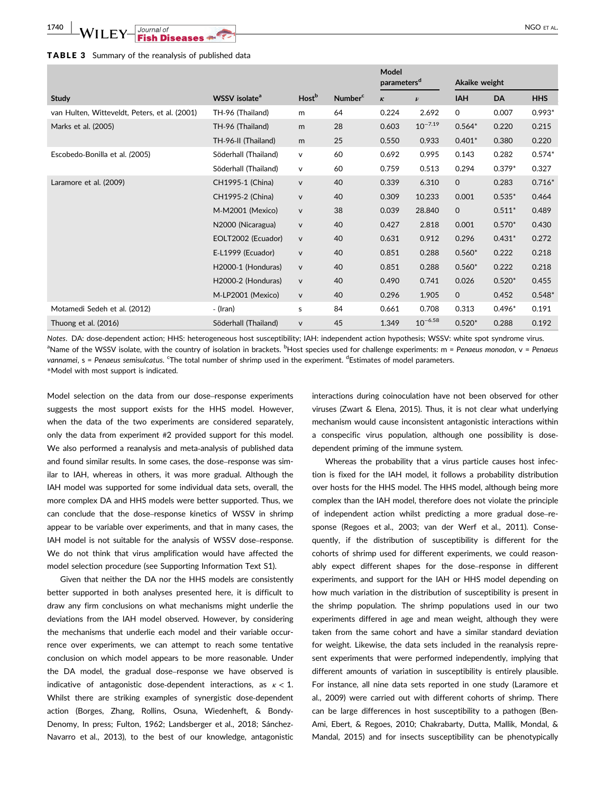#### TABLE 3 Summary of the reanalysis of published data

|                                               |                           |                   |                            | Model<br>parameters <sup>d</sup> |                    | Akaike weight |           |            |
|-----------------------------------------------|---------------------------|-------------------|----------------------------|----------------------------------|--------------------|---------------|-----------|------------|
| <b>Study</b>                                  | WSSV isolate <sup>a</sup> | Host <sup>b</sup> | <b>Number</b> <sup>c</sup> | $\kappa$                         | $\boldsymbol{\nu}$ | IAH           | <b>DA</b> | <b>HHS</b> |
| van Hulten, Witteveldt, Peters, et al. (2001) | TH-96 (Thailand)          | m                 | 64                         | 0.224                            | 2.692              | $\mathbf 0$   | 0.007     | $0.993*$   |
| Marks et al. (2005)                           | TH-96 (Thailand)          | m                 | 28                         | 0.603                            | $10^{-7.19}$       | $0.564*$      | 0.220     | 0.215      |
|                                               | TH-96-II (Thailand)       | m                 | 25                         | 0.550                            | 0.933              | $0.401*$      | 0.380     | 0.220      |
| Escobedo-Bonilla et al. (2005)                | Söderhall (Thailand)      | $\mathsf{V}$      | 60                         | 0.692                            | 0.995              | 0.143         | 0.282     | $0.574*$   |
|                                               | Söderhall (Thailand)      | $\mathsf{v}$      | 60                         | 0.759                            | 0.513              | 0.294         | $0.379*$  | 0.327      |
| Laramore et al. (2009)                        | CH1995-1 (China)          | V                 | 40                         | 0.339                            | 6.310              | $\mathbf{O}$  | 0.283     | $0.716*$   |
|                                               | CH1995-2 (China)          | $\mathsf{V}$      | 40                         | 0.309                            | 10.233             | 0.001         | $0.535*$  | 0.464      |
|                                               | M-M2001 (Mexico)          | V                 | 38                         | 0.039                            | 28.840             | 0             | $0.511*$  | 0.489      |
|                                               | N2000 (Nicaragua)         | $\mathsf{V}$      | 40                         | 0.427                            | 2.818              | 0.001         | $0.570*$  | 0.430      |
|                                               | EOLT2002 (Ecuador)        | V                 | 40                         | 0.631                            | 0.912              | 0.296         | $0.431*$  | 0.272      |
|                                               | E-L1999 (Ecuador)         | $\mathsf{V}$      | 40                         | 0.851                            | 0.288              | $0.560*$      | 0.222     | 0.218      |
|                                               | H2000-1 (Honduras)        | $\mathsf{V}$      | 40                         | 0.851                            | 0.288              | $0.560*$      | 0.222     | 0.218      |
|                                               | H2000-2 (Honduras)        | $\mathsf{V}$      | 40                         | 0.490                            | 0.741              | 0.026         | $0.520*$  | 0.455      |
|                                               | M-LP2001 (Mexico)         | $\mathsf{v}$      | 40                         | 0.296                            | 1.905              | 0             | 0.452     | $0.548*$   |
| Motamedi Sedeh et al. (2012)                  | - (Iran)                  | s                 | 84                         | 0.661                            | 0.708              | 0.313         | $0.496*$  | 0.191      |
| Thuong et al. (2016)                          | Söderhall (Thailand)      | $\mathsf{V}$      | 45                         | 1.349                            | $10^{-6.58}$       | $0.520*$      | 0.288     | 0.192      |

*Notes*. DA: dose‐dependent action; HHS: heterogeneous host susceptibility; IAH: independent action hypothesis; WSSV: white spot syndrome virus. <sup>a</sup>Name of the WSSV isolate, with the country of isolation in brackets. <sup>b</sup>Host species used for challenge experiments: m = *Penaeus monodon*, v = *Penaeus* vannamei, s = Penaeus semisulcatus. <sup>c</sup>The total number of shrimp used in the experiment. <sup>d</sup>Estimates of model parameters. \*Model with most support is indicated.

Model selection on the data from our dose–response experiments suggests the most support exists for the HHS model. However, when the data of the two experiments are considered separately, only the data from experiment #2 provided support for this model. We also performed a reanalysis and meta-analysis of published data and found similar results. In some cases, the dose–response was similar to IAH, whereas in others, it was more gradual. Although the IAH model was supported for some individual data sets, overall, the more complex DA and HHS models were better supported. Thus, we can conclude that the dose–response kinetics of WSSV in shrimp appear to be variable over experiments, and that in many cases, the IAH model is not suitable for the analysis of WSSV dose–response. We do not think that virus amplification would have affected the model selection procedure (see Supporting Information Text S1).

Given that neither the DA nor the HHS models are consistently better supported in both analyses presented here, it is difficult to draw any firm conclusions on what mechanisms might underlie the deviations from the IAH model observed. However, by considering the mechanisms that underlie each model and their variable occurrence over experiments, we can attempt to reach some tentative conclusion on which model appears to be more reasonable. Under the DA model, the gradual dose–response we have observed is indicative of antagonistic dose-dependent interactions, as  $\kappa < 1$ . Whilst there are striking examples of synergistic dose-dependent action (Borges, Zhang, Rollins, Osuna, Wiedenheft, & Bondy‐ Denomy, In press; Fulton, 1962; Landsberger et al., 2018; Sánchez-Navarro et al., 2013), to the best of our knowledge, antagonistic

interactions during coinoculation have not been observed for other viruses (Zwart & Elena, 2015). Thus, it is not clear what underlying mechanism would cause inconsistent antagonistic interactions within a conspecific virus population, although one possibility is dose‐ dependent priming of the immune system.

Whereas the probability that a virus particle causes host infection is fixed for the IAH model, it follows a probability distribution over hosts for the HHS model. The HHS model, although being more complex than the IAH model, therefore does not violate the principle of independent action whilst predicting a more gradual dose–response (Regoes et al., 2003; van der Werf et al., 2011). Consequently, if the distribution of susceptibility is different for the cohorts of shrimp used for different experiments, we could reasonably expect different shapes for the dose–response in different experiments, and support for the IAH or HHS model depending on how much variation in the distribution of susceptibility is present in the shrimp population. The shrimp populations used in our two experiments differed in age and mean weight, although they were taken from the same cohort and have a similar standard deviation for weight. Likewise, the data sets included in the reanalysis represent experiments that were performed independently, implying that different amounts of variation in susceptibility is entirely plausible. For instance, all nine data sets reported in one study (Laramore et al., 2009) were carried out with different cohorts of shrimp. There can be large differences in host susceptibility to a pathogen (Ben‐ Ami, Ebert, & Regoes, 2010; Chakrabarty, Dutta, Mallik, Mondal, & Mandal, 2015) and for insects susceptibility can be phenotypically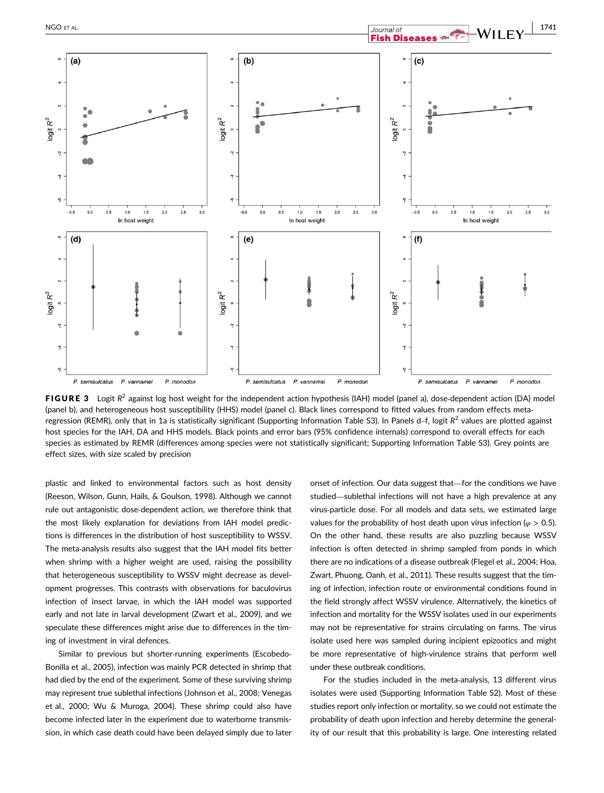

**FIGURE 3** Logit  $R^2$  against log host weight for the independent action hypothesis (IAH) model (panel a), dose-dependent action (DA) model (panel b), and heterogeneous host susceptibility (HHS) model (panel c). Black lines correspond to fitted values from random effects meta‐ regression (REMR), only that in 1a is statistically significant (Supporting Information Table S3). In Panels d–f, logit *R*<sup>2</sup> values are plotted against host species for the IAH, DA and HHS models. Black points and error bars (95% confidence internals) correspond to overall effects for each species as estimated by REMR (differences among species were not statistically significant; Supporting Information Table S3). Grey points are effect sizes, with size scaled by precision

plastic and linked to environmental factors such as host density (Reeson, Wilson, Gunn, Hails, & Goulson, 1998). Although we cannot rule out antagonistic dose‐dependent action, we therefore think that the most likely explanation for deviations from IAH model predictions is differences in the distribution of host susceptibility to WSSV. The meta-analysis results also suggest that the IAH model fits better when shrimp with a higher weight are used, raising the possibility that heterogeneous susceptibility to WSSV might decrease as development progresses. This contrasts with observations for baculovirus infection of insect larvae, in which the IAH model was supported early and not late in larval development (Zwart et al., 2009), and we speculate these differences might arise due to differences in the timing of investment in viral defences.

Similar to previous but shorter-running experiments (Escobedo-Bonilla et al., 2005), infection was mainly PCR detected in shrimp that had died by the end of the experiment. Some of these surviving shrimp may represent true sublethal infections (Johnson et al., 2008; Venegas et al., 2000; Wu & Muroga, 2004). These shrimp could also have become infected later in the experiment due to waterborne transmission, in which case death could have been delayed simply due to later onset of infection. Our data suggest that—for the conditions we have studied—sublethal infections will not have a high prevalence at any virus‐particle dose. For all models and data sets, we estimated large values for the probability of host death upon virus infection ( $\varphi > 0.5$ ). On the other hand, these results are also puzzling because WSSV infection is often detected in shrimp sampled from ponds in which there are no indications of a disease outbreak (Flegel et al., 2004; Hoa, Zwart, Phuong, Oanh, et al., 2011). These results suggest that the timing of infection, infection route or environmental conditions found in the field strongly affect WSSV virulence. Alternatively, the kinetics of infection and mortality for the WSSV isolates used in our experiments may not be representative for strains circulating on farms. The virus isolate used here was sampled during incipient epizootics and might be more representative of high-virulence strains that perform well under these outbreak conditions.

For the studies included in the meta‐analysis, 13 different virus isolates were used (Supporting Information Table S2). Most of these studies report only infection or mortality, so we could not estimate the probability of death upon infection and hereby determine the generality of our result that this probability is large. One interesting related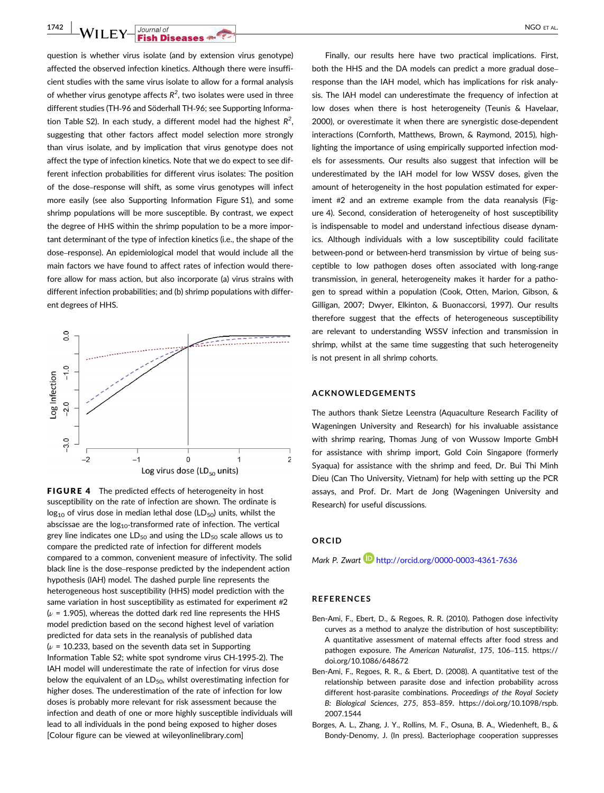**1742** | **IA/II EX** Journal of **ALCONDUCTAL CONTRACT CONTRACT CONTRACT CONTRACT CONTRACT CONTRACT CONTRACT CONTRACT CONTRACT CONTRACT CONTRACT CONTRACT CONTRACT CONTRACT CONTRACT CONTRACT CONTRACT CONTRACT CONTRACT CONTRAC** 

question is whether virus isolate (and by extension virus genotype) affected the observed infection kinetics. Although there were insufficient studies with the same virus isolate to allow for a formal analysis of whether virus genotype affects *R<sup>2</sup>* , two isolates were used in three different studies (TH‐96 and Söderhall TH‐96; see Supporting Information Table S2). In each study, a different model had the highest *R2* , suggesting that other factors affect model selection more strongly than virus isolate, and by implication that virus genotype does not affect the type of infection kinetics. Note that we do expect to see different infection probabilities for different virus isolates: The position of the dose–response will shift, as some virus genotypes will infect more easily (see also Supporting Information Figure S1), and some shrimp populations will be more susceptible. By contrast, we expect the degree of HHS within the shrimp population to be a more important determinant of the type of infection kinetics (i.e., the shape of the dose–response). An epidemiological model that would include all the main factors we have found to affect rates of infection would therefore allow for mass action, but also incorporate (a) virus strains with different infection probabilities; and (b) shrimp populations with different degrees of HHS.



FIGURE 4 The predicted effects of heterogeneity in host susceptibility on the rate of infection are shown. The ordinate is  $log_{10}$  of virus dose in median lethal dose (LD<sub>50</sub>) units, whilst the abscissae are the  $log_{10}$ -transformed rate of infection. The vertical grey line indicates one  $LD_{50}$  and using the  $LD_{50}$  scale allows us to compare the predicted rate of infection for different models compared to a common, convenient measure of infectivity. The solid black line is the dose–response predicted by the independent action hypothesis (IAH) model. The dashed purple line represents the heterogeneous host susceptibility (HHS) model prediction with the same variation in host susceptibility as estimated for experiment #2 (*ν* = 1.905), whereas the dotted dark red line represents the HHS model prediction based on the second highest level of variation predicted for data sets in the reanalysis of published data (*ν* = 10.233, based on the seventh data set in Supporting Information Table S2; white spot syndrome virus CH‐1995‐2). The IAH model will underestimate the rate of infection for virus dose below the equivalent of an  $LD_{50}$ , whilst overestimating infection for higher doses. The underestimation of the rate of infection for low doses is probably more relevant for risk assessment because the infection and death of one or more highly susceptible individuals will lead to all individuals in the pond being exposed to higher doses [Colour figure can be viewed at wileyonlinelibrary.com]

Finally, our results here have two practical implications. First, both the HHS and the DA models can predict a more gradual dose– response than the IAH model, which has implications for risk analysis. The IAH model can underestimate the frequency of infection at low doses when there is host heterogeneity (Teunis & Havelaar, 2000), or overestimate it when there are synergistic dose‐dependent interactions (Cornforth, Matthews, Brown, & Raymond, 2015), highlighting the importance of using empirically supported infection models for assessments. Our results also suggest that infection will be underestimated by the IAH model for low WSSV doses, given the amount of heterogeneity in the host population estimated for experiment #2 and an extreme example from the data reanalysis (Figure 4). Second, consideration of heterogeneity of host susceptibility is indispensable to model and understand infectious disease dynamics. Although individuals with a low susceptibility could facilitate between‐pond or between‐herd transmission by virtue of being susceptible to low pathogen doses often associated with long‐range transmission, in general, heterogeneity makes it harder for a pathogen to spread within a population (Cook, Otten, Marion, Gibson, & Gilligan, 2007; Dwyer, Elkinton, & Buonaccorsi, 1997). Our results therefore suggest that the effects of heterogeneous susceptibility are relevant to understanding WSSV infection and transmission in shrimp, whilst at the same time suggesting that such heterogeneity is not present in all shrimp cohorts.

#### **ACKNOWLEDGEMENTS**

The authors thank Sietze Leenstra (Aquaculture Research Facility of Wageningen University and Research) for his invaluable assistance with shrimp rearing, Thomas Jung of von Wussow Importe GmbH for assistance with shrimp import, Gold Coin Singapore (formerly Syaqua) for assistance with the shrimp and feed, Dr. Bui Thi Minh Dieu (Can Tho University, Vietnam) for help with setting up the PCR assays, and Prof. Dr. Mart de Jong (Wageningen University and Research) for useful discussions.

## **ORCID**

## *Mark P. Zwart* http://orcid.org/0000-0003-4361-7636

#### **REFERENCES**

- Ben-Ami, F., Ebert, D., & Regoes, R. R. (2010). Pathogen dose infectivity curves as a method to analyze the distribution of host susceptibility: A quantitative assessment of maternal effects after food stress and pathogen exposure. *The American Naturalist*, *175*, 106–115. [https://](https://doi.org/10.1086/648672) [doi.org/10.1086/648672](https://doi.org/10.1086/648672)
- Ben-Ami, F., Regoes, R. R., & Ebert, D. (2008). A quantitative test of the relationship between parasite dose and infection probability across different host‐parasite combinations. *Proceedings of the Royal Society B: Biological Sciences*, *275*, 853–859. [https://doi.org/10.1098/rspb.](https://doi.org/10.1098/rspb.2007.1544) [2007.1544](https://doi.org/10.1098/rspb.2007.1544)
- Borges, A. L., Zhang, J. Y., Rollins, M. F., Osuna, B. A., Wiedenheft, B., & Bondy-Denomy, J. (In press). Bacteriophage cooperation suppresses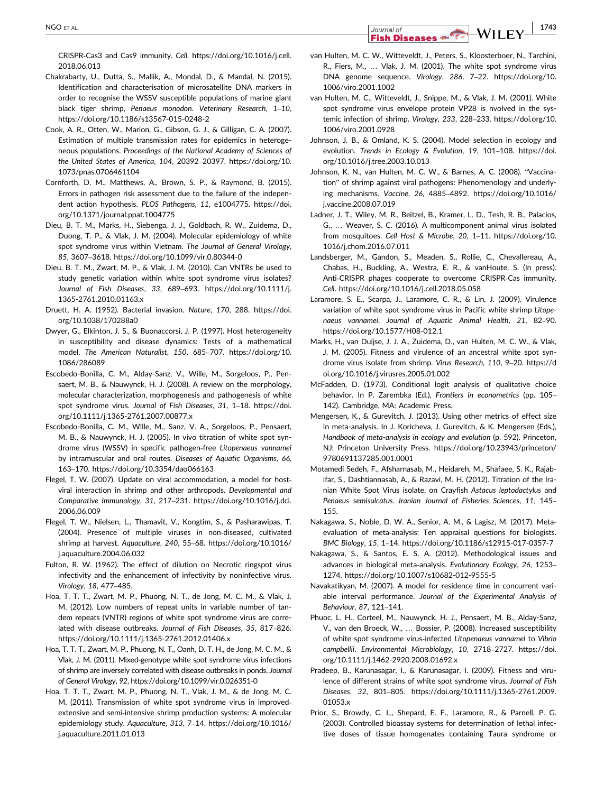CRISPR‐Cas3 and Cas9 immunity. *Cell*. [https://doi.org/10.1016/j.cell.](https://doi.org/10.1016/j.cell.2018.06.013) [2018.06.013](https://doi.org/10.1016/j.cell.2018.06.013)

- Chakrabarty, U., Dutta, S., Mallik, A., Mondal, D., & Mandal, N. (2015). Identification and characterisation of microsatellite DNA markers in order to recognise the WSSV susceptible populations of marine giant black tiger shrimp, *Penaeus monodon*. *Veterinary Research*, *1–10*, <https://doi.org/10.1186/s13567-015-0248-2>
- Cook, A. R., Otten, W., Marion, G., Gibson, G. J., & Gilligan, C. A. (2007). Estimation of multiple transmission rates for epidemics in heterogeneous populations. *Proceedings of the National Academy of Sciences of the United States of America*, *104*, 20392–20397. [https://doi.org/10.](https://doi.org/10.1073/pnas.0706461104) [1073/pnas.0706461104](https://doi.org/10.1073/pnas.0706461104)
- Cornforth, D. M., Matthews, A., Brown, S. P., & Raymond, B. (2015). Errors in pathogen risk assessment due to the failure of the independent action hypothesis. *PLOS Pathogens*, *11*, e1004775. [https://doi.](https://doi.org/10.1371/journal.ppat.1004775) [org/10.1371/journal.ppat.1004775](https://doi.org/10.1371/journal.ppat.1004775)
- Dieu, B. T. M., Marks, H., Siebenga, J. J., Goldbach, R. W., Zuidema, D., Duong, T. P., & Vlak, J. M. (2004). Molecular epidemiology of white spot syndrome virus within Vietnam. *The Journal of General Virology*, *85*, 3607–3618.<https://doi.org/10.1099/vir.0.80344-0>
- Dieu, B. T. M., Zwart, M. P., & Vlak, J. M. (2010). Can VNTRs be used to study genetic variation within white spot syndrome virus isolates? *Journal of Fish Diseases*, *33*, 689–693. [https://doi.org/10.1111/j.](https://doi.org/10.1111/j.1365-2761.2010.01163.x) [1365-2761.2010.01163.x](https://doi.org/10.1111/j.1365-2761.2010.01163.x)
- Druett, H. A. (1952). Bacterial invasion. *Nature*, *170*, 288. [https://doi.](https://doi.org/10.1038/170288a0) [org/10.1038/170288a0](https://doi.org/10.1038/170288a0)
- Dwyer, G., Elkinton, J. S., & Buonaccorsi, J. P. (1997). Host heterogeneity in susceptibility and disease dynamics: Tests of a mathematical model. *The American Naturalist*, *150*, 685–707. [https://doi.org/10.](https://doi.org/10.1086/286089) [1086/286089](https://doi.org/10.1086/286089)
- Escobedo-Bonilla, C. M., Alday-Sanz, V., Wille, M., Sorgeloos, P., Pensaert, M. B., & Nauwynck, H. J. (2008). A review on the morphology, molecular characterization, morphogenesis and pathogenesis of white spot syndrome virus. *Journal of Fish Diseases*, *31*, 1–18. [https://doi.](https://doi.org/10.1111/j.1365-2761.2007.00877.x) [org/10.1111/j.1365-2761.2007.00877.x](https://doi.org/10.1111/j.1365-2761.2007.00877.x)
- Escobedo-Bonilla, C. M., Wille, M., Sanz, V. A., Sorgeloos, P., Pensaert, M. B., & Nauwynck, H. J. (2005). In vivo titration of white spot syndrome virus (WSSV) in specific pathogen‐free *Litopenaeus vannamei* by intramuscular and oral routes. *Diseases of Aquatic Organisms*, *66*, 163–170.<https://doi.org/10.3354/dao066163>
- Flegel, T. W. (2007). Update on viral accommodation, a model for hostviral interaction in shrimp and other arthropods. *Developmental and Comparative Immunology*, *31*, 217–231. [https://doi.org/10.1016/j.dci.](https://doi.org/10.1016/j.dci.2006.06.009) [2006.06.009](https://doi.org/10.1016/j.dci.2006.06.009)
- Flegel, T. W., Nielsen, L., Thamavit, V., Kongtim, S., & Pasharawipas, T. (2004). Presence of multiple viruses in non‐diseased, cultivated shrimp at harvest. *Aquaculture*, *240*, 55–68. [https://doi.org/10.1016/](https://doi.org/10.1016/j.aquaculture.2004.06.032) [j.aquaculture.2004.06.032](https://doi.org/10.1016/j.aquaculture.2004.06.032)
- Fulton, R. W. (1962). The effect of dilution on Necrotic ringspot virus infectivity and the enhancement of infectivity by noninfective virus. *Virology*, *18*, 477–485.
- Hoa, T. T. T., Zwart, M. P., Phuong, N. T., de Jong, M. C. M., & Vlak, J. M. (2012). Low numbers of repeat units in variable number of tandem repeats (VNTR) regions of white spot syndrome virus are correlated with disease outbreaks. *Journal of Fish Diseases*, *35*, 817–826. <https://doi.org/10.1111/j.1365-2761.2012.01406.x>
- Hoa, T. T. T., Zwart, M. P., Phuong, N. T., Oanh, D. T. H., de Jong, M. C. M., & Vlak, J. M. (2011). Mixed‐genotype white spot syndrome virus infections of shrimp are inversely correlated with disease outbreaks in ponds. *Journal of General Virology*, *92*,<https://doi.org/10.1099/vir.0.026351-0>
- Hoa, T. T. T., Zwart, M. P., Phuong, N. T., Vlak, J. M., & de Jong, M. C. M. (2011). Transmission of white spot syndrome virus in improved‐ extensive and semi‐intensive shrimp production systems: A molecular epidemiology study. *Aquaculture*, *313*, 7–14. [https://doi.org/10.1016/](https://doi.org/10.1016/j.aquaculture.2011.01.013) [j.aquaculture.2011.01.013](https://doi.org/10.1016/j.aquaculture.2011.01.013)
- van Hulten, M. C. W., Witteveldt, J., Peters, S., Kloosterboer, N., Tarchini, R., Fiers, M., … Vlak, J. M. (2001). The white spot syndrome virus DNA genome sequence. *Virology*, *286*, 7–22. [https://doi.org/10.](https://doi.org/10.1006/viro.2001.1002) [1006/viro.2001.1002](https://doi.org/10.1006/viro.2001.1002)
- van Hulten, M. C., Witteveldt, J., Snippe, M., & Vlak, J. M. (2001). White spot syndrome virus envelope protein VP28 is nvolved in the systemic infection of shrimp. *Virology*, *233*, 228–233. [https://doi.org/10.](https://doi.org/10.1006/viro.2001.0928) [1006/viro.2001.0928](https://doi.org/10.1006/viro.2001.0928)
- Johnson, J. B., & Omland, K. S. (2004). Model selection in ecology and evolution. *Trends in Ecology & Evolution*, *19*, 101–108. [https://doi.](https://doi.org/10.1016/j.tree.2003.10.013) [org/10.1016/j.tree.2003.10.013](https://doi.org/10.1016/j.tree.2003.10.013)
- Johnson, K. N., van Hulten, M. C. W., & Barnes, A. C. (2008). "Vaccination" of shrimp against viral pathogens: Phenomenology and underlying mechanisms. *Vaccine*, *26*, 4885–4892. [https://doi.org/10.1016/](https://doi.org/10.1016/j.vaccine.2008.07.019) [j.vaccine.2008.07.019](https://doi.org/10.1016/j.vaccine.2008.07.019)
- Ladner, J. T., Wiley, M. R., Beitzel, B., Kramer, L. D., Tesh, R. B., Palacios, G., … Weaver, S. C. (2016). A multicomponent animal virus isolated from mosquitoes. *Cell Host & Microbe*, *20*, 1–11. [https://doi.org/10.](https://doi.org/10.1016/j.chom.2016.07.011) [1016/j.chom.2016.07.011](https://doi.org/10.1016/j.chom.2016.07.011)
- Landsberger, M., Gandon, S., Meaden, S., Rollie, C., Chevallereau, A., Chabas, H., Buckling, A., Westra, E. R., & vanHoute, S. (In press). Anti-CRISPR phages cooperate to overcome CRISPR-Cas immunity. *Cell*.<https://doi.org/10.1016/j.cell.2018.05.058>
- Laramore, S. E., Scarpa, J., Laramore, C. R., & Lin, J. (2009). Virulence variation of white spot syndrome virus in Pacific white shrimp *Litopenaeus vannamei*. *Journal of Aquatic Animal Health*, *21*, 82–90. <https://doi.org/10.1577/H08-012.1>
- Marks, H., van Duijse, J. J. A., Zuidema, D., van Hulten, M. C. W., & Vlak, J. M. (2005). Fitness and virulence of an ancestral white spot syndrome virus isolate from shrimp. *Virus Research*, *110*, 9–20. [https://d](https://doi.org/10.1016/j.virusres.2005.01.002) [oi.org/10.1016/j.virusres.2005.01.002](https://doi.org/10.1016/j.virusres.2005.01.002)
- McFadden, D. (1973). Conditional logit analysis of qualitative choice behavior. In P. Zarembka (Ed.), *Frontiers in econometrics* (pp. 105– 142). Cambridge, MA: Academic Press.
- Mengersen, K., & Gurevitch, J. (2013). Using other metrics of effect size in meta-analysis. In J. Koricheva, J. Gurevitch, & K. Mengersen (Eds.), *Handbook of meta-analysis in ecology and evolution* (p. 592). Princeton, NJ: Princeton University Press. [https://doi.org/10.23943/princeton/](https://doi.org/10.23943/princeton/9780691137285.001.0001) [9780691137285.001.0001](https://doi.org/10.23943/princeton/9780691137285.001.0001)
- Motamedi Sedeh, F., Afsharnasab, M., Heidareh, M., Shafaee, S. K., Rajabifar, S., Dashtiannasab, A., & Razavi, M. H. (2012). Titration of the Iranian White Spot Virus isolate, on Crayfish *Astacus leptodactylus* and *Penaeus semisulcatus*. *Iranian Journal of Fisheries Sciences*, *11*, 145– 155.
- Nakagawa, S., Noble, D. W. A., Senior, A. M., & Lagisz, M. (2017). Meta‐ evaluation of meta-analysis: Ten appraisal questions for biologists. *BMC Biology*, *15*, 1–14.<https://doi.org/10.1186/s12915-017-0357-7>
- Nakagawa, S., & Santos, E. S. A. (2012). Methodological issues and advances in biological meta‐analysis. *Evolutionary Ecology*, *26*, 1253– 1274.<https://doi.org/10.1007/s10682-012-9555-5>
- Navakatikyan, M. (2007). A model for residence time in concurrent variable interval performance. *Journal of the Experimental Analysis of Behaviour*, *87*, 121–141.
- Phuoc, L. H., Corteel, M., Nauwynck, H. J., Pensaert, M. B., Alday-Sanz, V., van den Broeck, W., … Bossier, P. (2008). Increased susceptibility of white spot syndrome virus‐infected *Litopenaeus vannamei* to *Vibrio campbellii*. *Environmental Microbiology*, *10*, 2718–2727. [https://doi.](https://doi.org/10.1111/j.1462-2920.2008.01692.x) [org/10.1111/j.1462-2920.2008.01692.x](https://doi.org/10.1111/j.1462-2920.2008.01692.x)
- Pradeep, B., Karunasagar, I., & Karunasagar, I. (2009). Fitness and virulence of different strains of white spot syndrome virus. *Journal of Fish Diseases*, *32*, 801–805. [https://doi.org/10.1111/j.1365-2761.2009.](https://doi.org/10.1111/j.1365-2761.2009.01053.x) [01053.x](https://doi.org/10.1111/j.1365-2761.2009.01053.x)
- Prior, S., Browdy, C. L., Shepard, E. F., Laramore, R., & Parnell, P. G. (2003). Controlled bioassay systems for determination of lethal infective doses of tissue homogenates containing Taura syndrome or